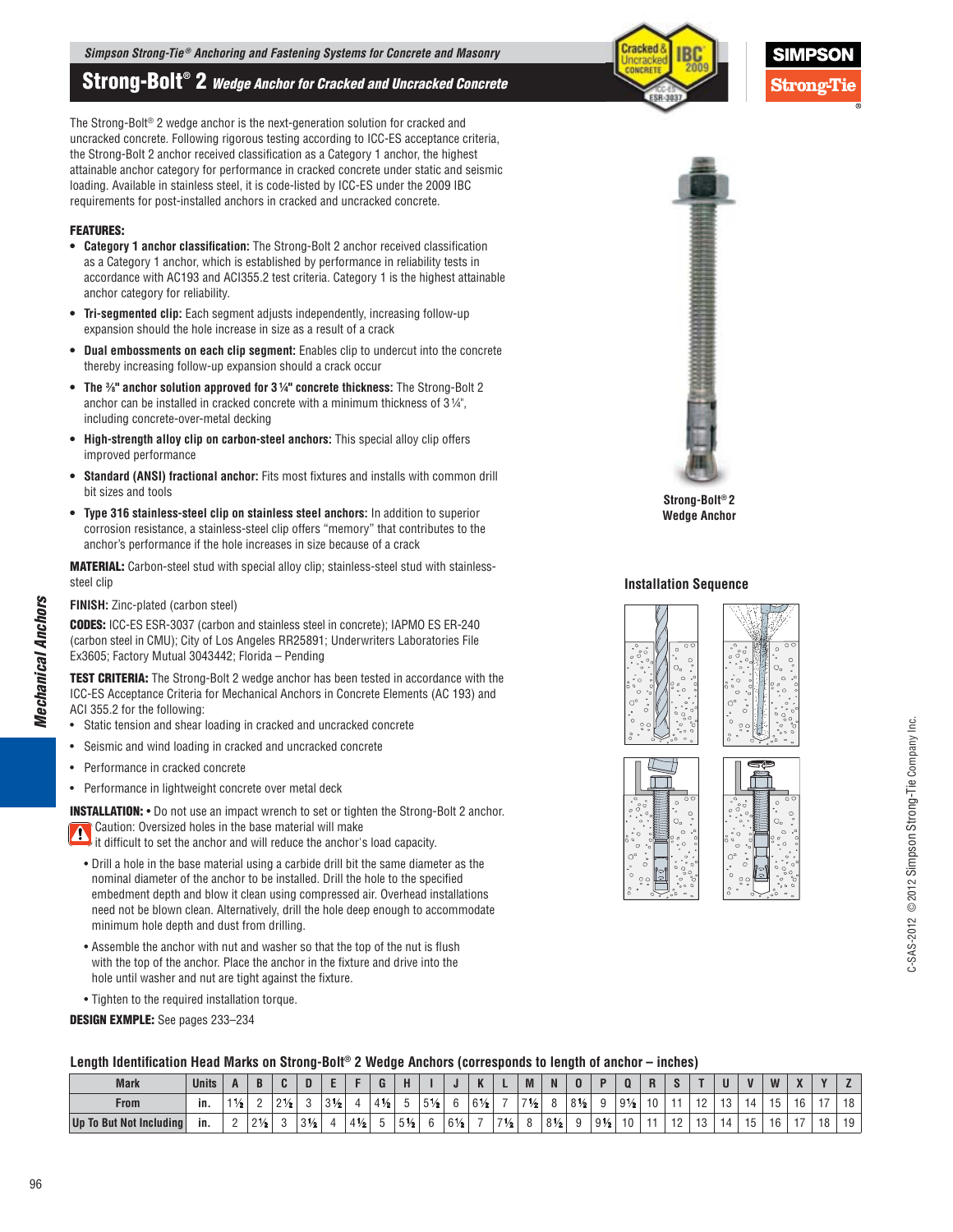# **Strong-Bolt® 2** *Wedge Anchor for Cracked and Uncracked Concrete*

The Strong-Bolt® 2 wedge anchor is the next-generation solution for cracked and uncracked concrete. Following rigorous testing according to ICC-ES acceptance criteria, the Strong-Bolt 2 anchor received classification as a Category 1 anchor, the highest attainable anchor category for performance in cracked concrete under static and seismic loading. Available in stainless steel, it is code-listed by ICC-ES under the 2009 IBC requirements for post-installed anchors in cracked and uncracked concrete.

#### **FEATURES:**

- **Category 1 anchor classification:** The Strong-Bolt 2 anchor received classification as a Category 1 anchor, which is established by performance in reliability tests in accordance with AC193 and ACI355.2 test criteria. Category 1 is the highest attainable anchor category for reliability.
- **Tri-segmented clip:** Each segment adjusts independently, increasing follow-up expansion should the hole increase in size as a result of a crack
- **Dual embossments on each clip segment:** Enables clip to undercut into the concrete thereby increasing follow-up expansion should a crack occur
- **The %" anchor solution approved for 3 1/4" concrete thickness: The Strong-Bolt 2** anchor can be installed in cracked concrete with a minimum thickness of 3 ¼", including concrete-over-metal decking
- **High-strength alloy clip on carbon-steel anchors:** This special alloy clip offers improved performance
- **Standard (ANSI) fractional anchor:** Fits most fixtures and installs with common drill bit sizes and tools
- **Type 316 stainless-steel clip on stainless steel anchors:** In addition to superior corrosion resistance, a stainless-steel clip offers "memory" that contributes to the anchor's performance if the hole increases in size because of a crack

**MATERIAL:** Carbon-steel stud with special alloy clip; stainless-steel stud with stainlesssteel clip

#### **FINISH:** Zinc-plated (carbon steel)

*Mechanical Anchors*

**Mechanical Anchors** 

96

**CODES:** ICC-ES ESR-3037 (carbon and stainless steel in concrete); IAPMO ES ER-240 (carbon steel in CMU); City of Los Angeles RR25891; Underwriters Laboratories File Ex3605; Factory Mutual 3043442; Florida – Pending

**TEST CRITERIA:** The Strong-Bolt 2 wedge anchor has been tested in accordance with the ICC-ES Acceptance Criteria for Mechanical Anchors in Concrete Elements (AC 193) and ACI 355.2 for the following:

- Static tension and shear loading in cracked and uncracked concrete
- Seismic and wind loading in cracked and uncracked concrete
- Performance in cracked concrete
- Performance in lightweight concrete over metal deck

**INSTALLATION:** • Do not use an impact wrench to set or tighten the Strong-Bolt 2 anchor. Caution: Oversized holes in the base material will make

**if** difficult to set the anchor and will reduce the anchor's load capacity.

- Drill a hole in the base material using a carbide drill bit the same diameter as the nominal diameter of the anchor to be installed. Drill the hole to the specified embedment depth and blow it clean using compressed air. Overhead installations need not be blown clean. Alternatively, drill the hole deep enough to accommodate minimum hole depth and dust from drilling.
- Assemble the anchor with nut and washer so that the top of the nut is flush with the top of the anchor. Place the anchor in the fixture and drive into the hole until washer and nut are tight against the fixture.
- Tighten to the required installation torque.

# **DESIGN EXMPLE:** See pages 233–234

# Length Identification Head Marks on Strong-Bolt® 2 Wedge Anchors (corresponds to length of anchor – inches)

| <b>Mark</b>             | <b>Units</b> |      |                |             |                     |                |                      |                |                |           | υ              | n              | -            | M              | N              |                |                |                |    |                              |   | $\mathbf{u}$ | <b>W</b>       | $\mathbf{z}$        | $\overline{\mathbf{u}}$ |    |
|-------------------------|--------------|------|----------------|-------------|---------------------|----------------|----------------------|----------------|----------------|-----------|----------------|----------------|--------------|----------------|----------------|----------------|----------------|----------------|----|------------------------------|---|--------------|----------------|---------------------|-------------------------|----|
| <b>From</b>             | in.          | 11/2 |                | 21/2<br>ـ ـ |                     | $3\frac{1}{2}$ | $\epsilon$           | $4\frac{1}{2}$ |                | 51/6<br>u |                | $6\frac{1}{2}$ | $\sim$       | $7\frac{1}{2}$ |                | $8\frac{1}{2}$ |                | $9\frac{1}{2}$ | 10 |                              | ັ | 14           | ט ו            | $\overline{a}$<br>ັ |                         | ۱o |
| Up To But Not Including | ın.          | ∸    | $2\frac{1}{2}$ |             | 31/6<br><b>U</b> 72 |                | $A + I$<br>ᆞ 고 1/* ㆍ | ັ              | $5\frac{1}{2}$ |           | $6\frac{1}{2}$ |                | 71/6<br>12 I | $\Omega$       | $8\frac{1}{2}$ |                | $9\frac{1}{2}$ |                |    | $\overline{a}$<br>. <u>.</u> |   |              | $\overline{a}$ | $-$                 | $\overline{10}$<br>טו   | 19 |





 $String-Bolt<sup>®</sup> 2$ **Wedge Anchor** 

#### **Installation Sequence**

 $\epsilon$